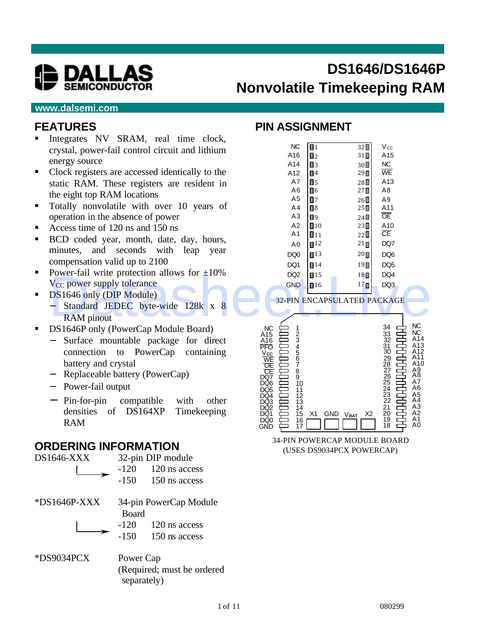

# **DS1646/DS1646P Nonvolatile Timekeeping RAM**

#### **www.dalsemi.com**

#### **FEATURES**

- ß Integrates NV SRAM, real time clock, crystal, power-fail control circuit and lithium energy source
- Clock registers are accessed identically to the static RAM. These registers are resident in the eight top RAM locations
- **Totally nonvolatile with over 10 years of** operation in the absence of power
- Access time of  $120 \text{ ns}$  and  $150 \text{ ns}$
- **BCD** coded year, month, date, day, hours, minutes, and seconds with leap year compensation valid up to 2100
- Power-fail write protection allows for  $\pm 10\%$  $V_{CC}$  power supply tolerance
- **BEDIG1646 only (DIP Module)** 
	- − Standard JEDEC byte-wide 128k x 8 RAM pinout
- ß DS1646P only (PowerCap Module Board)
	- − Surface mountable package for direct connection to PowerCap containing battery and crystal
	- − Replaceable battery (PowerCap)
	- − Power-fail output
	- − Pin-for-pin compatible with other densities of DS164XP Timekeeping RAM

#### **ORDERING INFORMATION**



(Required; must be ordered separately)

#### **PIN ASSIGNMENT**

| $m_{\rm g}$ and $n_{\rm v}$ bishing $m_{\rm g}$ and $m_{\rm g}$ |                 |                     |                                    |                 |                |
|-----------------------------------------------------------------|-----------------|---------------------|------------------------------------|-----------------|----------------|
| crystal, power-fail control circuit and lithium                 | <b>NC</b>       | $\blacksquare$      | $32\Box$                           | $V_{\rm CC}$    |                |
| energy source                                                   | A16             | $\Box$ 2            | 31                                 | A15             |                |
|                                                                 | A14             | $\Box$ 3            | 30                                 | NC              |                |
| Clock registers are accessed identically to the                 | A12             | $\Box$ <sup>4</sup> | $29\square$                        | WE              |                |
| static RAM. These registers are resident in                     | A7              | $\P$ <sub>5</sub>   | $28\square$                        | A13             |                |
| the eight top RAM locations                                     | A6              | $\Box$ 6            | $27\blacksquare$                   | A8              |                |
|                                                                 | A5              | $\blacksquare$      | $26\square$                        | A <sub>9</sub>  |                |
| Totally nonvolatile with over 10 years of                       | A <sub>4</sub>  | $\Box$ 8            | $25\square$                        | A11             |                |
| operation in the absence of power                               | A3              | $\blacksquare$      | $24 \blacksquare$                  | $\overline{OE}$ |                |
| Access time of 120 ns and 150 ns                                | A2              | $\blacksquare$ 10   | 23                                 | A10             |                |
| BCD coded year, month, date, day, hours,                        | A <sub>1</sub>  | $\blacksquare$ 11   | $22 \blacksquare$                  | $\overline{CE}$ |                |
|                                                                 | A0              | $\P$ <sup>12</sup>  | $21 \square$                       | DQ7             |                |
| minutes, and seconds with leap<br>year                          | DQ0             | $\blacksquare$ 13   | 20                                 | DQ <sub>6</sub> |                |
| compensation valid up to 2100                                   | DQ1             | $\P$ 14             | $19$ $\Pi$                         | DQ <sub>5</sub> |                |
| Power-fail write protection allows for $\pm 10\%$               | DQ <sub>2</sub> | $\blacksquare$ 15   | $18 \blacksquare$                  | DQ4             |                |
| V <sub>CC</sub> power supply tolerance                          | <b>GND</b>      | $\blacksquare$ 16   | $17 \square$                       | DQ3             |                |
| DS1646 only (DIP Module)                                        |                 |                     |                                    |                 |                |
|                                                                 |                 |                     | <b>32-PIN ENCAPSULATED PACKAGE</b> |                 |                |
| Standard JEDEC byte-wide 128k x 8<br>— ⊥                        |                 |                     |                                    |                 |                |
| <b>RAM</b> pinout                                               |                 |                     |                                    |                 |                |
| $R_{14}$ $(1.5)$ $(1.7)$                                        | $\sim$          |                     |                                    | $\Omega$        | N <sub>C</sub> |



34-PIN POWERCAP MODULE BOARD (USES DS9034PCX POWERCAP)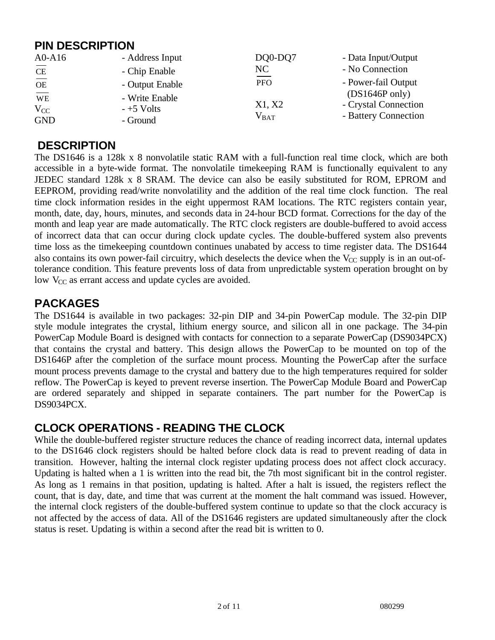### **PIN DESCRIPTION**

| $A0-A16$               | - Address Input | DQ0-DQ7                                                      | - Data Input/Output      |
|------------------------|-----------------|--------------------------------------------------------------|--------------------------|
| <b>CE</b>              | - Chip Enable   | NC                                                           | - No Connection          |
| $\overline{OE}$        | - Output Enable | $\hspace{0.1mm}-\hspace{0.1mm}-\hspace{0.1mm}$<br><b>PFO</b> | - Power-fail Output      |
| $\overline{\text{WE}}$ | - Write Enable  |                                                              | $(DS1646P \text{ only})$ |
| $V_{CC}$               | $-+5$ Volts     | X1, X2                                                       | - Crystal Connection     |
| <b>GND</b>             | - Ground        | $V_{BAT}$                                                    | - Battery Connection     |

#### **DESCRIPTION**

The DS1646 is a 128k x 8 nonvolatile static RAM with a full-function real time clock, which are both accessible in a byte-wide format. The nonvolatile timekeeping RAM is functionally equivalent to any JEDEC standard 128k x 8 SRAM. The device can also be easily substituted for ROM, EPROM and EEPROM, providing read/write nonvolatility and the addition of the real time clock function. The real time clock information resides in the eight uppermost RAM locations. The RTC registers contain year, month, date, day, hours, minutes, and seconds data in 24-hour BCD format. Corrections for the day of the month and leap year are made automatically. The RTC clock registers are double-buffered to avoid access of incorrect data that can occur during clock update cycles. The double-buffered system also prevents time loss as the timekeeping countdown continues unabated by access to time register data. The DS1644 also contains its own power-fail circuitry, which deselects the device when the  $V_{CC}$  supply is in an out-oftolerance condition. This feature prevents loss of data from unpredictable system operation brought on by low  $V_{CC}$  as errant access and update cycles are avoided.

# **PACKAGES**

The DS1644 is available in two packages: 32-pin DIP and 34-pin PowerCap module. The 32-pin DIP style module integrates the crystal, lithium energy source, and silicon all in one package. The 34-pin PowerCap Module Board is designed with contacts for connection to a separate PowerCap (DS9034PCX) that contains the crystal and battery. This design allows the PowerCap to be mounted on top of the DS1646P after the completion of the surface mount process. Mounting the PowerCap after the surface mount process prevents damage to the crystal and battery due to the high temperatures required for solder reflow. The PowerCap is keyed to prevent reverse insertion. The PowerCap Module Board and PowerCap are ordered separately and shipped in separate containers. The part number for the PowerCap is DS9034PCX.

# **CLOCK OPERATIONS - READING THE CLOCK**

While the double-buffered register structure reduces the chance of reading incorrect data, internal updates to the DS1646 clock registers should be halted before clock data is read to prevent reading of data in transition. However, halting the internal clock register updating process does not affect clock accuracy. Updating is halted when a 1 is written into the read bit, the 7th most significant bit in the control register. As long as 1 remains in that position, updating is halted. After a halt is issued, the registers reflect the count, that is day, date, and time that was current at the moment the halt command was issued. However, the internal clock registers of the double-buffered system continue to update so that the clock accuracy is not affected by the access of data. All of the DS1646 registers are updated simultaneously after the clock status is reset. Updating is within a second after the read bit is written to 0.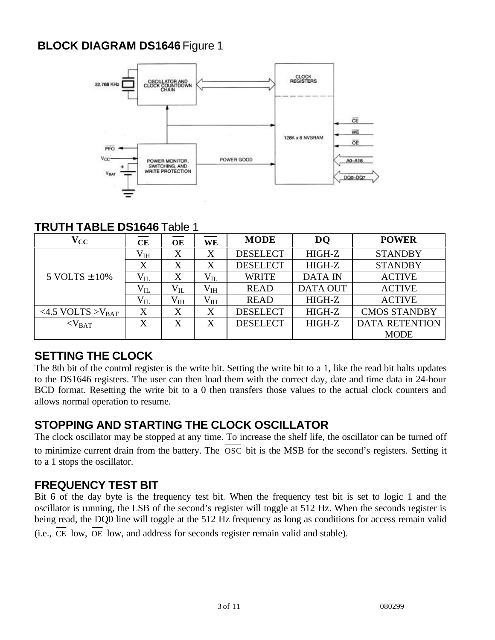# **BLOCK DIAGRAM DS1646** Figure 1



#### **TRUTH TABLE DS1646** Table 1

| $\mathbf{V_{CC}}$         | CE           | <b>OE</b>    | <b>WE</b>    | <b>MODE</b>     | <b>DQ</b>       | <b>POWER</b>          |
|---------------------------|--------------|--------------|--------------|-----------------|-----------------|-----------------------|
|                           | $\rm V_{IH}$ | X            | X            | <b>DESELECT</b> | HIGH-Z          | <b>STANDBY</b>        |
|                           | X            | X            | X            | <b>DESELECT</b> | HIGH-Z          | <b>STANDBY</b>        |
| $5$ VOLTS $\pm$ 10%       | $V_{IL}$     | X            | $\rm V_{II}$ | <b>WRITE</b>    | <b>DATA IN</b>  | <b>ACTIVE</b>         |
|                           | $V_{IL}$     | $V_{IL}$     | $\rm V_{IH}$ | <b>READ</b>     | <b>DATA OUT</b> | <b>ACTIVE</b>         |
|                           | $V_{IL}$     | $\rm V_{IH}$ | $\rm V_{IH}$ | <b>READ</b>     | HIGH-Z          | <b>ACTIVE</b>         |
| $<$ 4.5 VOLTS > $V_{BAT}$ | X            | X            | X            | <b>DESELECT</b> | HIGH-Z          | <b>CMOS STANDBY</b>   |
| $<$ V <sub>BAT</sub>      | X            | X            | X            | <b>DESELECT</b> | HIGH-Z          | <b>DATA RETENTION</b> |
|                           |              |              |              |                 |                 | <b>MODE</b>           |

# **SETTING THE CLOCK**

The 8th bit of the control register is the write bit. Setting the write bit to a 1, like the read bit halts updates to the DS1646 registers. The user can then load them with the correct day, date and time data in 24-hour BCD format. Resetting the write bit to a 0 then transfers those values to the actual clock counters and allows normal operation to resume.

### **STOPPING AND STARTING THE CLOCK OSCILLATOR**

The clock oscillator may be stopped at any time. To increase the shelf life, the oscillator can be turned off to minimize current drain from the battery. The OSC bit is the MSB for the second's registers. Setting it to a 1 stops the oscillator.

### **FREQUENCY TEST BIT**

Bit 6 of the day byte is the frequency test bit. When the frequency test bit is set to logic 1 and the oscillator is running, the LSB of the second's register will toggle at 512 Hz. When the seconds register is being read, the DQ0 line will toggle at the 512 Hz frequency as long as conditions for access remain valid (i.e., CE low, OE low, and address for seconds register remain valid and stable).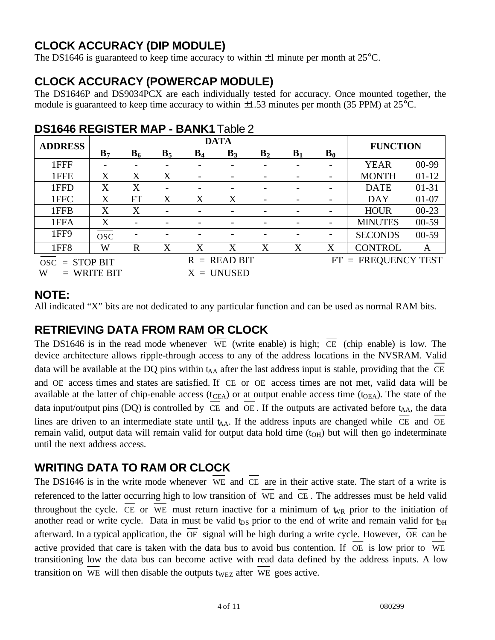# **CLOCK ACCURACY (DIP MODULE)**

The DS1646 is guaranteed to keep time accuracy to within  $\pm 1$  minute per month at 25 $^{\circ}$ C.

# **CLOCK ACCURACY (POWERCAP MODULE)**

The DS1646P and DS9034PCX are each individually tested for accuracy. Once mounted together, the module is guaranteed to keep time accuracy to within  $\pm 1.53$  minutes per month (35 PPM) at 25°C.

| <b>ADDRESS</b>   |                |              |                |       | <b>DATA</b> |                |       |       | <b>FUNCTION</b>    |           |
|------------------|----------------|--------------|----------------|-------|-------------|----------------|-------|-------|--------------------|-----------|
|                  | B <sub>7</sub> | $B_6$        | $B_5$          | $B_4$ | $B_3$       | B <sub>2</sub> | $B_1$ | $B_0$ |                    |           |
| 1FFF             |                |              |                |       |             |                |       |       | <b>YEAR</b>        | 00-99     |
| 1FFE             | X              | X            | X              |       |             |                |       |       | <b>MONTH</b>       | $01-12$   |
| 1FFD             | X              | X            | -              |       |             |                |       |       | <b>DATE</b>        | $01 - 31$ |
| 1FFC             | X              | <b>FT</b>    | X              | X     | X           |                |       | -     | <b>DAY</b>         | $01 - 07$ |
| 1FFB             | X              | X            |                |       |             |                |       |       | <b>HOUR</b>        | $00-23$   |
| 1FFA             | X              |              |                |       |             |                |       |       | <b>MINUTES</b>     | $00-59$   |
| 1FF9             | <b>OSC</b>     |              |                |       |             |                |       |       | <b>SECONDS</b>     | $00-59$   |
| 1FF <sub>8</sub> | W              | $\mathbb{R}$ | X              | X     | X           | X              | X     | X     | <b>CONTROL</b>     | A         |
| $osc = STOP BIT$ |                |              | $R = READ BIT$ |       |             |                |       | FT.   | $=$ FREQUENCY TEST |           |
| W                | $=$ WRITE BIT  |              |                | X     | $=$ UNUSED  |                |       |       |                    |           |

# **DS1646 REGISTER MAP - BANK1** Table 2

#### **NOTE:**

All indicated "X" bits are not dedicated to any particular function and can be used as normal RAM bits.

# **RETRIEVING DATA FROM RAM OR CLOCK**

The DS1646 is in the read mode whenever WE (write enable) is high; CE (chip enable) is low. The device architecture allows ripple-through access to any of the address locations in the NVSRAM. Valid data will be available at the DQ pins within  $t_{AA}$  after the last address input is stable, providing that the CE and  $\overline{OE}$  access times and states are satisfied. If  $\overline{CE}$  or  $\overline{OE}$  access times are not met, valid data will be available at the latter of chip-enable access ( $t_{CEA}$ ) or at output enable access time ( $t_{OEA}$ ). The state of the data input/output pins (DQ) is controlled by  $\overline{CE}$  and  $\overline{OE}$ . If the outputs are activated before t<sub>AA</sub>, the data lines are driven to an intermediate state until  $t_{AA}$ . If the address inputs are changed while  $\overline{CE}$  and  $\overline{OE}$ remain valid, output data will remain valid for output data hold time  $(t<sub>OH</sub>)$  but will then go indeterminate until the next address access.

# **WRITING DATA TO RAM OR CLOCK**

The DS1646 is in the write mode whenever WE and CE are in their active state. The start of a write is referenced to the latter occurring high to low transition of WE and CE . The addresses must be held valid throughout the cycle. CE or WE must return inactive for a minimum of  $\psi_R$  prior to the initiation of another read or write cycle. Data in must be valid  $t_{DS}$  prior to the end of write and remain valid for  $t_{DH}$ afterward. In a typical application, the OE signal will be high during a write cycle. However, OE can be active provided that care is taken with the data bus to avoid bus contention. If OE is low prior to WE transitioning low the data bus can become active with read data defined by the address inputs. A low transition on WE will then disable the outputs t<sub>WEZ</sub> after WE goes active.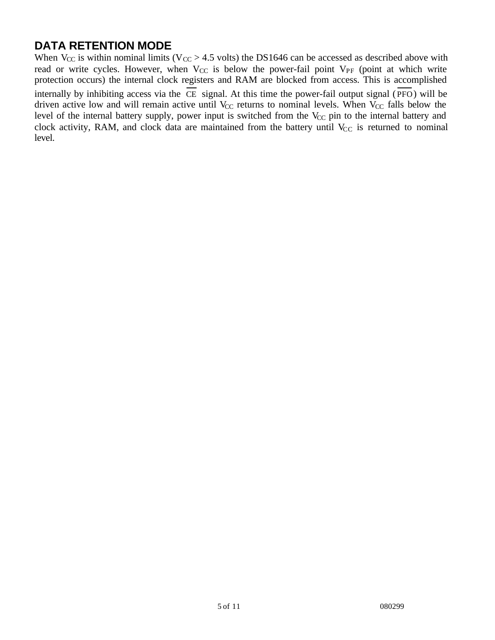# **DATA RETENTION MODE**

When  $V_{CC}$  is within nominal limits ( $V_{CC} > 4.5$  volts) the DS1646 can be accessed as described above with read or write cycles. However, when  $V_{CC}$  is below the power-fail point  $V_{PF}$  (point at which write protection occurs) the internal clock registers and RAM are blocked from access. This is accomplished internally by inhibiting access via the  $\overline{CE}$  signal. At this time the power-fail output signal ( $\overline{PFO}$ ) will be driven active low and will remain active until  $V_{CC}$  returns to nominal levels. When  $V_{CC}$  falls below the level of the internal battery supply, power input is switched from the  $V_{CC}$  pin to the internal battery and clock activity, RAM, and clock data are maintained from the battery until  $V_{CC}$  is returned to nominal level.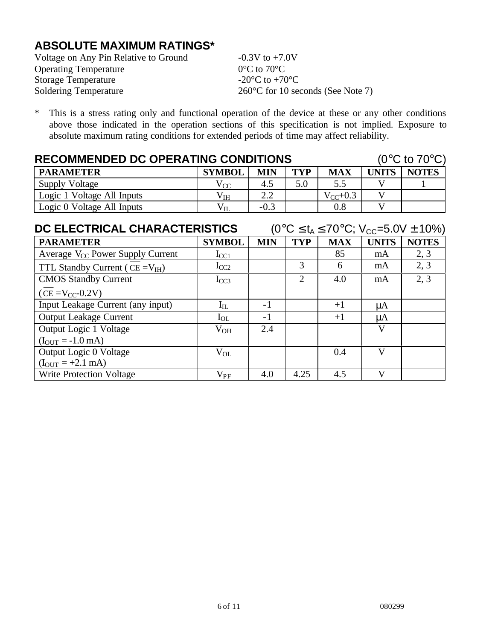# **ABSOLUTE MAXIMUM RATINGS\***

| Voltage on Any Pin Relative to Ground | $-0.3V$ to $+7.0V$                          |
|---------------------------------------|---------------------------------------------|
| <b>Operating Temperature</b>          | $0^{\circ}$ C to $70^{\circ}$ C             |
| <b>Storage Temperature</b>            | -20 $^{\circ}$ C to +70 $^{\circ}$ C        |
| Soldering Temperature                 | $260^{\circ}$ C for 10 seconds (See Note 7) |

\* This is a stress rating only and functional operation of the device at these or any other conditions above those indicated in the operation sections of this specification is not implied. Exposure to absolute maximum rating conditions for extended periods of time may affect reliability.

| <b>RECOMMENDED DC OPERATING CONDITIONS</b> |                                                    | $(0^{\circ}C \text{ to } 70^{\circ}C)$ |     |         |  |  |  |
|--------------------------------------------|----------------------------------------------------|----------------------------------------|-----|---------|--|--|--|
| <b>PARAMETER</b>                           | TYP<br>MIN<br><b>MAX</b><br>UNITS<br><b>SYMBOL</b> |                                        |     |         |  |  |  |
| Supply Voltage                             | $V_{CC}$                                           | 4.5                                    | 5.0 | 5.5     |  |  |  |
| Logic 1 Voltage All Inputs                 |                                                    |                                        |     |         |  |  |  |
| Logic 0 Voltage All Inputs                 | ${\rm v}_{\rm IL}$                                 | $-0.3$                                 |     | $0.8\,$ |  |  |  |

| DC ELECTRICAL CHARACTERISTICS         |               |            |                |            |              | $(0^{\circ}C \le t_A \le 70^{\circ}C; V_{CC} = 5.0V \pm 10\%)$ |
|---------------------------------------|---------------|------------|----------------|------------|--------------|----------------------------------------------------------------|
| <b>PARAMETER</b>                      | <b>SYMBOL</b> | <b>MIN</b> | <b>TYP</b>     | <b>MAX</b> | <b>UNITS</b> | <b>NOTES</b>                                                   |
| Average $V_{CC}$ Power Supply Current | $I_{CC1}$     |            |                | 85         | mA           | 2, 3                                                           |
| TTL Standby Current ( $CE = V_{IH}$ ) | $I_{CC2}$     |            | 3              | 6          | mA           | 2, 3                                                           |
| <b>CMOS Standby Current</b>           | $I_{CC3}$     |            | $\overline{2}$ | 4.0        | mA           | 2, 3                                                           |
| $(CE = V_{CC} - 0.2V)$                |               |            |                |            |              |                                                                |
| Input Leakage Current (any input)     | $I_{IL}$      | $-1$       |                | $+1$       | μA           |                                                                |
| <b>Output Leakage Current</b>         | $I_{OL}$      | $-1$       |                | $+1$       | $\mu A$      |                                                                |
| Output Logic 1 Voltage                | $V_{OH}$      | 2.4        |                |            | V            |                                                                |
| $(I_{OUT} = -1.0$ mA)                 |               |            |                |            |              |                                                                |
| Output Logic 0 Voltage                | $V_{OL}$      |            |                | 0.4        | V            |                                                                |
| $(I_{OUT} = +2.1$ mA)                 |               |            |                |            |              |                                                                |
| <b>Write Protection Voltage</b>       | $\rm V_{PF}$  | 4.0        | 4.25           | 4.5        | V            |                                                                |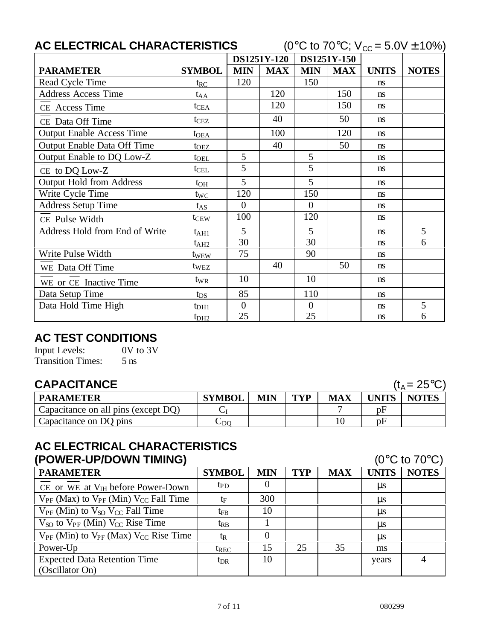|                                  | AC ELECTRICAL CHARACTERISTICS |            |                    |                | (0 <sup>o</sup> C to 70 <sup>o</sup> C; $V_{\text{CC}} = 5.0V \pm 10\%$ ) |              |              |  |  |
|----------------------------------|-------------------------------|------------|--------------------|----------------|---------------------------------------------------------------------------|--------------|--------------|--|--|
|                                  |                               |            | <b>DS1251Y-120</b> | DS1251Y-150    |                                                                           |              |              |  |  |
| <b>PARAMETER</b>                 | <b>SYMBOL</b>                 | <b>MIN</b> | <b>MAX</b>         | <b>MIN</b>     | <b>MAX</b>                                                                | <b>UNITS</b> | <b>NOTES</b> |  |  |
| Read Cycle Time                  | $t_{RC}$                      | 120        |                    | 150            |                                                                           | <b>ns</b>    |              |  |  |
| <b>Address Access Time</b>       | $t_{AA}$                      |            | 120                |                | 150                                                                       | ns           |              |  |  |
| CE Access Time                   | $t_{\text{CEA}}$              |            | 120                |                | 150                                                                       | ns.          |              |  |  |
| CE Data Off Time                 | t <sub>CEZ</sub>              |            | 40                 |                | 50                                                                        | ns           |              |  |  |
| <b>Output Enable Access Time</b> | $t_{OEA}$                     |            | 100                |                | 120                                                                       | ns           |              |  |  |
| Output Enable Data Off Time      | $t_{\rm OEZ}$                 |            | 40                 |                | 50                                                                        | ns           |              |  |  |
| Output Enable to DQ Low-Z        | t <sub>OEL</sub>              | 5          |                    | 5              |                                                                           | ns           |              |  |  |
| CE to DQ Low-Z                   | $t_{\text{CEL}}$              | 5          |                    | 5              |                                                                           | ns           |              |  |  |
| <b>Output Hold from Address</b>  | $t_{OH}$                      | 5          |                    | 5              |                                                                           | ns           |              |  |  |
| Write Cycle Time                 | $t_{WC}$                      | 120        |                    | 150            |                                                                           | ns           |              |  |  |
| <b>Address Setup Time</b>        | $t_{AS}$                      | $\Omega$   |                    | $\theta$       |                                                                           | ns           |              |  |  |
| CE Pulse Width                   | $t_{CEW}$                     | 100        |                    | 120            |                                                                           | ns           |              |  |  |
| Address Hold from End of Write   | $t_{\rm AH1}$                 | 5          |                    | 5              |                                                                           | ns           | 5            |  |  |
|                                  | $t_{\rm AH2}$                 | 30         |                    | 30             |                                                                           | ns           | 6            |  |  |
| Write Pulse Width                | twew                          | 75         |                    | 90             |                                                                           | ns           |              |  |  |
| WE Data Off Time                 | twez                          |            | 40                 |                | 50                                                                        | ns           |              |  |  |
| WE or CE Inactive Time           | tw <sub>R</sub>               | 10         |                    | 10             |                                                                           | ns           |              |  |  |
| Data Setup Time                  | $t_{DS}$                      | 85         |                    | 110            |                                                                           | ns           |              |  |  |
| Data Hold Time High              | t <sub>DH1</sub>              | $\theta$   |                    | $\overline{0}$ |                                                                           | ns           | 5            |  |  |
|                                  | t <sub>DH2</sub>              | 25         |                    | 25             |                                                                           | ns           | 6            |  |  |

# **AC TEST CONDITIONS**

Input Levels: 0V to 3V Transition Times: 5 ns

# **CAPACITANCE** ( $t_A = 25^{\circ}C$ )

| $(L_A)$ | $=25^{\circ}$ C |  |
|---------|-----------------|--|
|         |                 |  |

| <b>PARAMETER</b>                    | <b>SYMBOL</b>      | <b>MIN</b> | TVP | MAX | <b>UNITS</b> | <b>NOTES</b> |
|-------------------------------------|--------------------|------------|-----|-----|--------------|--------------|
| Capacitance on all pins (except DQ) |                    |            |     |     | рF           |              |
| Capacitance on DQ pins              | $\mathsf{\cup DO}$ |            |     |     | pF           |              |

#### **AC ELECTRICAL CHARACTERISTICS (POWER-UP/DOWN TIMING)** (0°C to 70°C)

|                                                     |                 |            |            |            |              | U U IU U U   |
|-----------------------------------------------------|-----------------|------------|------------|------------|--------------|--------------|
| <b>PARAMETER</b>                                    | <b>SYMBOL</b>   | <b>MIN</b> | <b>TYP</b> | <b>MAX</b> | <b>UNITS</b> | <b>NOTES</b> |
| CE or WE at $V_{IH}$ before Power-Down              | t <sub>PD</sub> | $\theta$   |            |            | $\mu$ s      |              |
| $V_{PF}$ (Max) to $V_{PF}$ (Min) $V_{CC}$ Fall Time | tF              | 300        |            |            | $\mu$ s      |              |
| $V_{PF}$ (Min) to $V_{SO}$ $V_{CC}$ Fall Time       | t <sub>FB</sub> | 10         |            |            | us           |              |
| $V_{SO}$ to $V_{PF}$ (Min) $V_{CC}$ Rise Time       | t <sub>RB</sub> |            |            |            | $\mu$ s      |              |
| $V_{PF}$ (Min) to $V_{PF}$ (Max) $V_{CC}$ Rise Time | t <sub>R</sub>  |            |            |            | $\mu$ s      |              |
| Power-Up                                            | $t_{REC}$       | 15         | 25         | 35         | ms           |              |
| <b>Expected Data Retention Time</b>                 | $t_{DR}$        | 10         |            |            | years        |              |
| (Oscillator On)                                     |                 |            |            |            |              |              |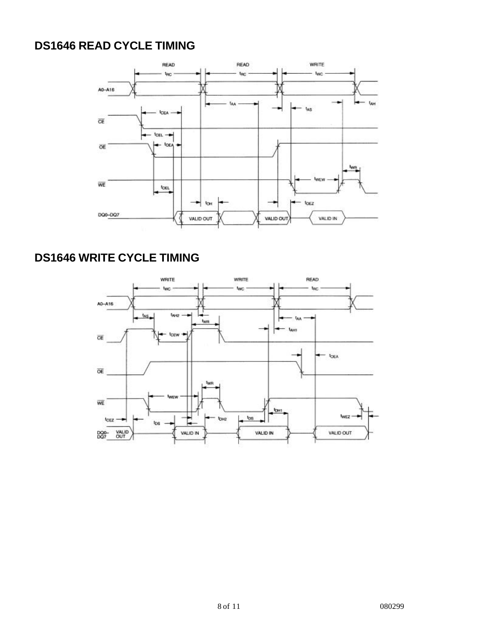# **DS1646 READ CYCLE TIMING**



# **DS1646 WRITE CYCLE TIMING**

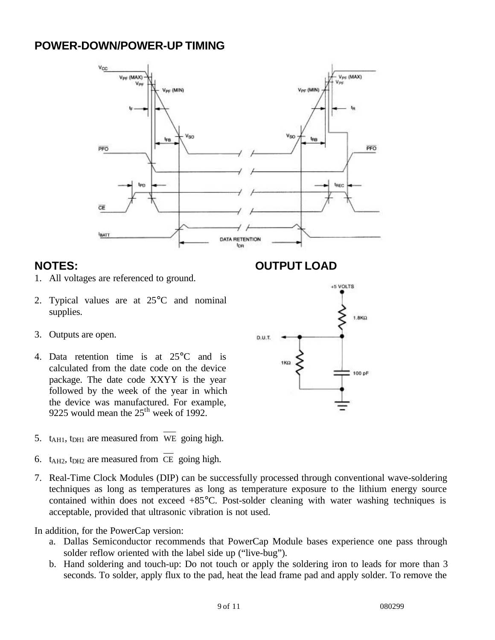### **POWER-DOWN/POWER-UP TIMING**



#### **NOTES:**

- 1. All voltages are referenced to ground.
- 2. Typical values are at 25°C and nominal supplies.
- 3. Outputs are open.
- 4. Data retention time is at 25°C and is calculated from the date code on the device package. The date code XXYY is the year followed by the week of the year in which the device was manufactured. For example, 9225 would mean the 25<sup>th</sup> week of 1992.
- 5.  $t_{\text{A}H1}$ ,  $t_{\text{D}H1}$  are measured from WE going high.
- 6.  $t_{\text{A}H2}$ ,  $t_{\text{D}H2}$  are measured from CE going high.
- 7. Real-Time Clock Modules (DIP) can be successfully processed through conventional wave-soldering techniques as long as temperatures as long as temperature exposure to the lithium energy source contained within does not exceed +85°C. Post-solder cleaning with water washing techniques is acceptable, provided that ultrasonic vibration is not used.

In addition, for the PowerCap version:

- a. Dallas Semiconductor recommends that PowerCap Module bases experience one pass through solder reflow oriented with the label side up ("live-bug").
- b. Hand soldering and touch-up: Do not touch or apply the soldering iron to leads for more than 3 seconds. To solder, apply flux to the pad, heat the lead frame pad and apply solder. To remove the

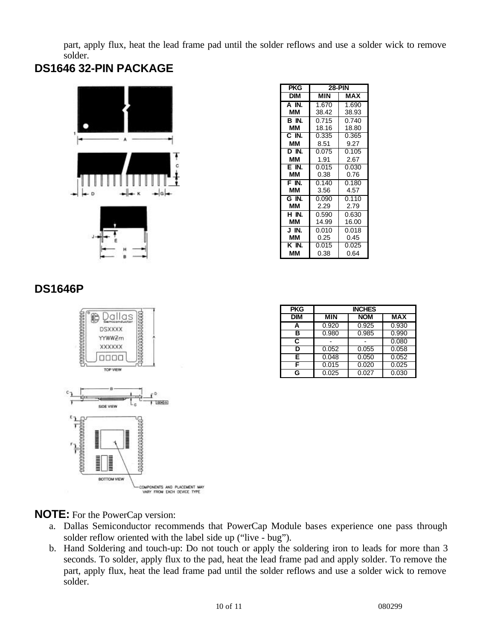part, apply flux, heat the lead frame pad until the solder reflows and use a solder wick to remove solder.

# **DS1646 32-PIN PACKAGE**



| PKG        | <b>28-PIN</b> |       |  |  |  |  |
|------------|---------------|-------|--|--|--|--|
| <b>DIM</b> | MIN           | MAX   |  |  |  |  |
| $A$ IN.    | 1.670         | 1.690 |  |  |  |  |
| ΜМ         | 38.42         | 38.93 |  |  |  |  |
| BN.        | 0.715         | 0.740 |  |  |  |  |
| ΜМ         | 18.16         | 18.80 |  |  |  |  |
| C IN.      | 0.335         | 0.365 |  |  |  |  |
| ΜМ         | 8.51          | 9.27  |  |  |  |  |
| D IN.      | 0.075         | 0.105 |  |  |  |  |
| MМ         | 1.91          | 2.67  |  |  |  |  |
| E IN.      | 0.015         | 0.030 |  |  |  |  |
| ΜМ         | 0.38          | 0.76  |  |  |  |  |
| F IN.      | 0.140         | 0.180 |  |  |  |  |
| ΜМ         | 3.56          | 4.57  |  |  |  |  |
| G IN.      | 0.090         | 0.110 |  |  |  |  |
| ΜМ         | 2.29          | 2.79  |  |  |  |  |
| H IN.      | 0.590         | 0.630 |  |  |  |  |
| MМ         | 14.99         | 16.00 |  |  |  |  |
| J IN.      | 0.010         | 0.018 |  |  |  |  |
| ΜМ         | 0.25          | 0.45  |  |  |  |  |
| K IN.      | 0.015         | 0.025 |  |  |  |  |
| ΜМ         | 0.38          | 0.64  |  |  |  |  |

# **DS1646P**



| <b>PKG</b> | <b>INCHES</b> |            |            |
|------------|---------------|------------|------------|
| <b>DIM</b> | <b>MIN</b>    | <b>NOM</b> | <b>MAX</b> |
| А          | 0.920         | 0.925      | 0.930      |
| в          | 0.980         | 0.985      | 0.990      |
| С          |               |            | 0.080      |
| ח          | 0.052         | 0.055      | 0.058      |
| E          | 0.048         | 0.050      | 0.052      |
|            | 0.015         | 0.020      | 0.025      |
| G          | 0.025         | 0.027      | 0.030      |

**NOTE:** For the PowerCap version:

- a. Dallas Semiconductor recommends that PowerCap Module bases experience one pass through solder reflow oriented with the label side up ("live - bug").
- b. Hand Soldering and touch-up: Do not touch or apply the soldering iron to leads for more than 3 seconds. To solder, apply flux to the pad, heat the lead frame pad and apply solder. To remove the part, apply flux, heat the lead frame pad until the solder reflows and use a solder wick to remove solder.